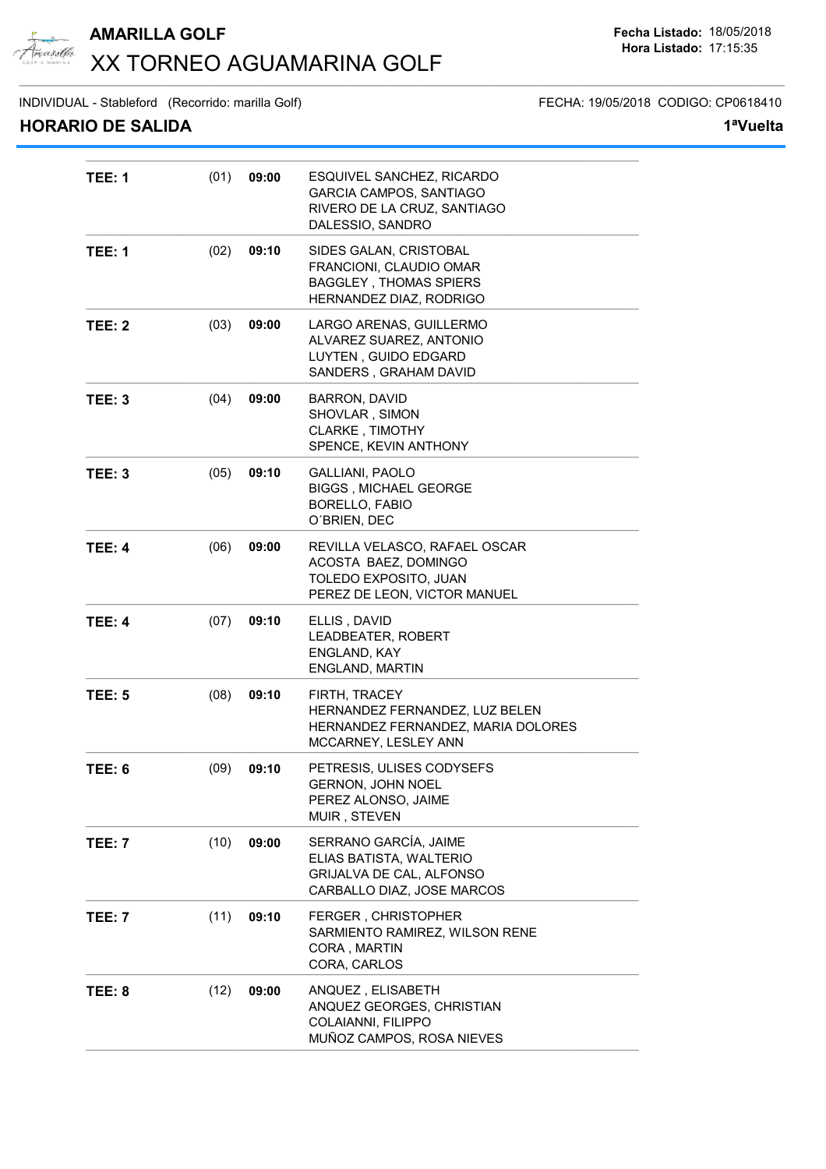

## **AMARILLA GOLF Fecha Listado:** 18/05/2018 XX TORNEO AGUAMARINA GOLF  $\_$  ,  $\_$  ,  $\_$  ,  $\_$  ,  $\_$  ,  $\_$  ,  $\_$  ,  $\_$  ,  $\_$  ,  $\_$  ,  $\_$  ,  $\_$  ,  $\_$  ,  $\_$  ,  $\_$  ,  $\_$  ,  $\_$  ,  $\_$  ,  $\_$  ,  $\_$  ,  $\_$  ,  $\_$  ,  $\_$  ,  $\_$  ,  $\_$  ,  $\_$  ,  $\_$  ,  $\_$  ,  $\_$  ,  $\_$  ,  $\_$  ,  $\_$  ,  $\_$  ,  $\_$  ,  $\_$  ,  $\_$  ,  $\_$  ,

**TEE: 5** (08) **09:10** FIRTH, TRACEY

**TEE: 6** (09) **09:10** PETRESIS, ULISES CODYSEFS

**TEE: 7** (10) **09:00** SERRANO GARCÍA, JAIME

**TEE: 7** (11) **09:10** FERGER , CHRISTOPHER

**TEE: 8** (12) **09:00** ANQUEZ , ELISABETH

INDIVIDUAL - Stableford (Recorrido: marilla Golf) FECHA: 19/05/2018 CODIGO: CP0618410

### **HORARIO DE SALIDA 1ªVuelta**

| V PL JALIPA   |      |       |                                                                                                                |
|---------------|------|-------|----------------------------------------------------------------------------------------------------------------|
| <b>TEE: 1</b> | (01) | 09:00 | ESQUIVEL SANCHEZ, RICARDO<br>GARCIA CAMPOS, SANTIAGO<br>RIVERO DE LA CRUZ, SANTIAGO<br>DALESSIO, SANDRO        |
| <b>TEE: 1</b> | (02) | 09:10 | SIDES GALAN, CRISTOBAL<br>FRANCIONI, CLAUDIO OMAR<br><b>BAGGLEY, THOMAS SPIERS</b><br>HERNANDEZ DIAZ, RODRIGO  |
| <b>TEE: 2</b> | (03) | 09:00 | LARGO ARENAS, GUILLERMO<br>ALVAREZ SUAREZ, ANTONIO<br>LUYTEN, GUIDO EDGARD<br>SANDERS, GRAHAM DAVID            |
| TEE: 3        | (04) | 09:00 | <b>BARRON, DAVID</b><br>SHOVLAR, SIMON<br><b>CLARKE, TIMOTHY</b><br>SPENCE, KEVIN ANTHONY                      |
| <b>TEE: 3</b> | (05) | 09:10 | <b>GALLIANI, PAOLO</b><br><b>BIGGS, MICHAEL GEORGE</b><br><b>BORELLO, FABIO</b><br>O'BRIEN, DEC                |
| <b>TEE: 4</b> | (06) | 09:00 | REVILLA VELASCO, RAFAEL OSCAR<br>ACOSTA BAEZ, DOMINGO<br>TOLEDO EXPOSITO, JUAN<br>PEREZ DE LEON, VICTOR MANUEL |
| <b>TEE: 4</b> | (07) | 09:10 | ELLIS, DAVID<br><b>LEADBEATER, ROBERT</b><br>ENGLAND, KAY<br><b>ENGLAND, MARTIN</b>                            |

HERNANDEZ FERNANDEZ, LUZ BELEN HERNANDEZ FERNANDEZ, MARIA DOLORES

SARMIENTO RAMIREZ, WILSON RENE

ANQUEZ GEORGES, CHRISTIAN

MUÑOZ CAMPOS, ROSA NIEVES

MCCARNEY, LESLEY ANN

ELIAS BATISTA, WALTERIO GRIJALVA DE CAL, ALFONSO CARBALLO DIAZ, JOSE MARCOS

GERNON, JOHN NOEL PEREZ ALONSO, JAIME

MUIR, STEVEN

CORA , MARTIN CORA, CARLOS

COLAIANNI, FILIPPO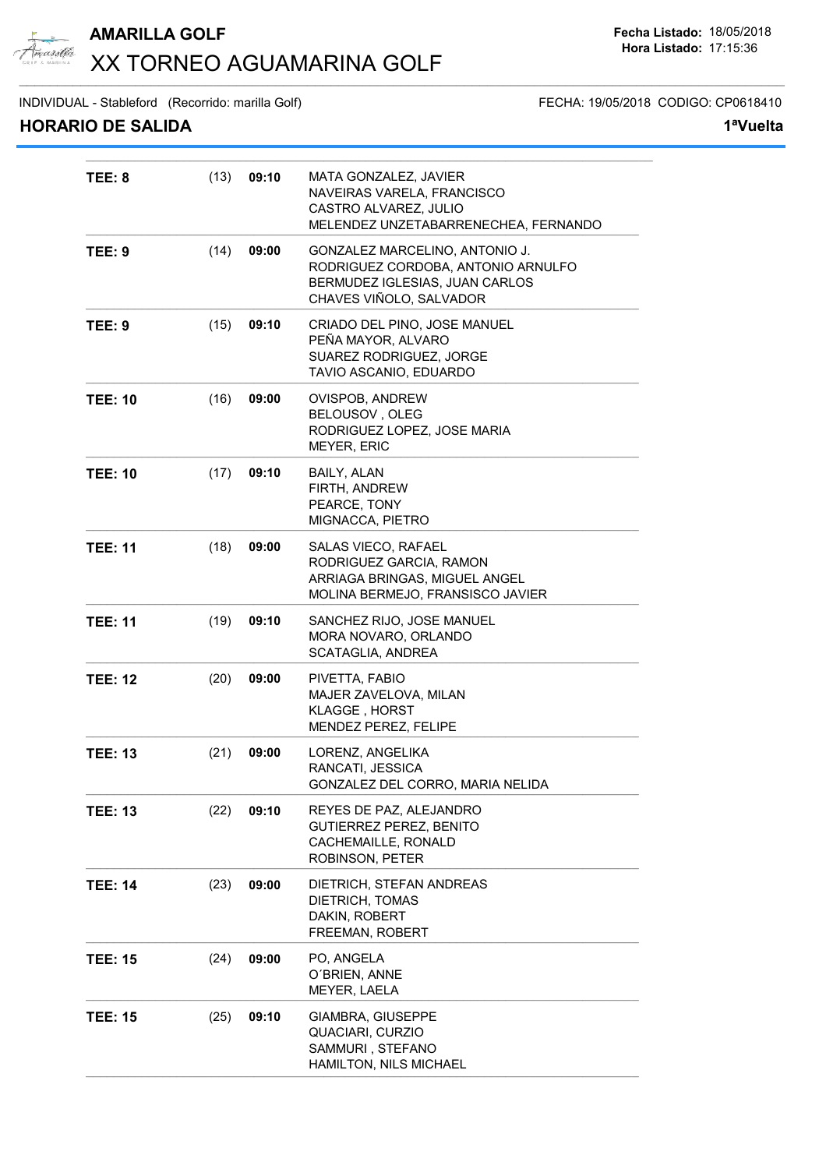

## **AMARILLA GOLF Fecha Listado:** 18/05/2018 XX TORNEO AGUAMARINA GOLF  $\_$  ,  $\_$  ,  $\_$  ,  $\_$  ,  $\_$  ,  $\_$  ,  $\_$  ,  $\_$  ,  $\_$  ,  $\_$  ,  $\_$  ,  $\_$  ,  $\_$  ,  $\_$  ,  $\_$  ,  $\_$  ,  $\_$  ,  $\_$  ,  $\_$  ,  $\_$  ,  $\_$  ,  $\_$  ,  $\_$  ,  $\_$  ,  $\_$  ,  $\_$  ,  $\_$  ,  $\_$  ,  $\_$  ,  $\_$  ,  $\_$  ,  $\_$  ,  $\_$  ,  $\_$  ,  $\_$  ,  $\_$  ,  $\_$  ,

INDIVIDUAL - Stableford (Recorrido: marilla Golf) FECHA: 19/05/2018 CODIGO: CP0618410

| <b>HORARIO DE SALIDA</b> |               |                                                                                                                                   | 1ªVuelta |
|--------------------------|---------------|-----------------------------------------------------------------------------------------------------------------------------------|----------|
| <b>TEE: 8</b>            | (13)<br>09:10 | MATA GONZALEZ, JAVIER<br>NAVEIRAS VARELA, FRANCISCO<br>CASTRO ALVAREZ, JULIO<br>MELENDEZ UNZETABARRENECHEA, FERNANDO              |          |
| <b>TEE: 9</b>            | (14)<br>09:00 | GONZALEZ MARCELINO, ANTONIO J.<br>RODRIGUEZ CORDOBA, ANTONIO ARNULFO<br>BERMUDEZ IGLESIAS, JUAN CARLOS<br>CHAVES VIÑOLO, SALVADOR |          |
| <b>TEE: 9</b>            | (15)<br>09:10 | CRIADO DEL PINO, JOSE MANUEL<br>PEÑA MAYOR, ALVARO<br>SUAREZ RODRIGUEZ, JORGE<br>TAVIO ASCANIO, EDUARDO                           |          |
| <b>TEE: 10</b>           | (16)<br>09:00 | OVISPOB, ANDREW<br>BELOUSOV, OLEG<br>RODRIGUEZ LOPEZ, JOSE MARIA<br><b>MEYER, ERIC</b>                                            |          |
| <b>TEE: 10</b>           | (17)<br>09:10 | <b>BAILY, ALAN</b><br>FIRTH, ANDREW<br>PEARCE, TONY<br>MIGNACCA, PIETRO                                                           |          |
| <b>TEE: 11</b>           | (18)<br>09:00 | SALAS VIECO, RAFAEL<br>RODRIGUEZ GARCIA, RAMON<br>ARRIAGA BRINGAS, MIGUEL ANGEL<br>MOLINA BERMEJO, FRANSISCO JAVIER               |          |
|                          |               |                                                                                                                                   |          |

|                |      |       | ARRIAGA DRIINGAS, MIGUEL ANGEL<br>MOLINA BERMEJO, FRANSISCO JAVIER                                    |
|----------------|------|-------|-------------------------------------------------------------------------------------------------------|
| <b>TEE: 11</b> | (19) | 09:10 | SANCHEZ RIJO, JOSE MANUEL<br>MORA NOVARO, ORLANDO<br>SCATAGLIA, ANDREA                                |
| <b>TEE: 12</b> | (20) | 09:00 | PIVETTA, FABIO<br><b>MAJER ZAVELOVA, MILAN</b><br><b>KLAGGE, HORST</b><br><b>MENDEZ PEREZ, FELIPE</b> |
| <b>TEE: 13</b> | (21) | 09:00 | LORENZ, ANGELIKA<br>RANCATI, JESSICA<br>GONZALEZ DEL CORRO, MARIA NELIDA                              |
| <b>TEE: 13</b> | (22) | 09:10 | REYES DE PAZ, ALEJANDRO<br><b>GUTIERREZ PEREZ, BENITO</b><br>CACHEMAILLE, RONALD<br>ROBINSON, PETER   |
| <b>TEE: 14</b> | (23) | 09:00 | DIETRICH, STEFAN ANDREAS<br>DIETRICH, TOMAS<br>DAKIN, ROBERT<br>FREEMAN, ROBERT                       |
| <b>TEE: 15</b> | (24) | 09:00 | PO, ANGELA<br>O'BRIEN, ANNE<br>MEYER, LAELA                                                           |
| <b>TEE: 15</b> | (25) | 09:10 | GIAMBRA, GIUSEPPE<br>QUACIARI, CURZIO<br>SAMMURI, STEFANO<br>HAMILTON, NILS MICHAEL                   |